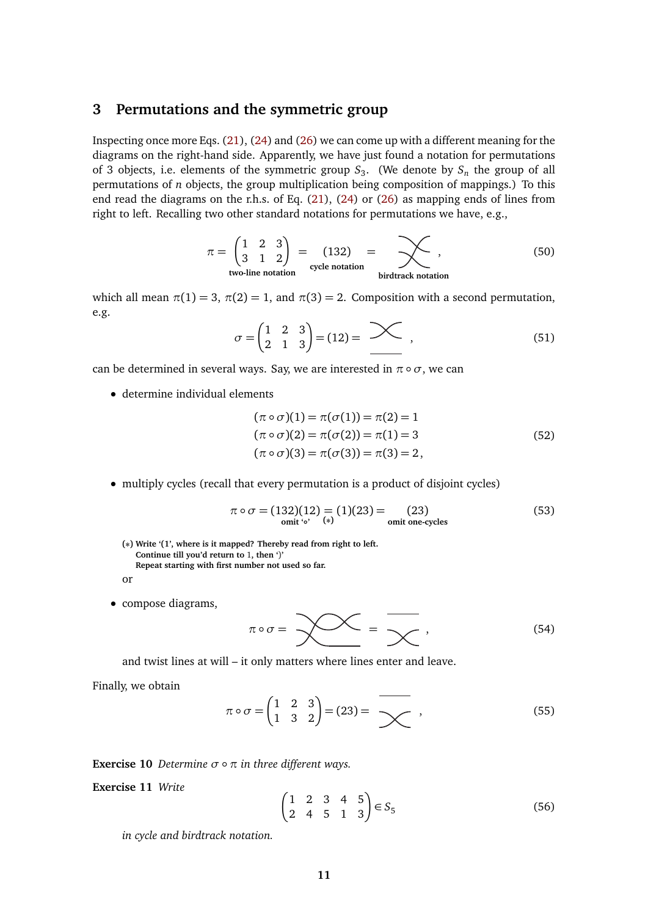## **3 Permutations and the symmetric group**

Inspecting once more Eqs. (21), (24) and (26) we can come up with a different meaning for the diagrams on the right-hand side. Apparently, we have just found a notation for permutations of 3 objects, i.e. elements of the symmetric group  $S_3$ . (We denote by  $S_n$  the group of all permutations of *n* objects, the group multiplication being composition of mappings.) To this end read the diagrams on the r.h.s. of Eq. (21), (24) or (26) as mapping ends of lines from right to left. Recalling two other standard notations for permutations we have, e.g.,

$$
\pi = \begin{pmatrix} 1 & 2 & 3 \\ 3 & 1 & 2 \end{pmatrix} = (132) = \sum_{\text{cycle notation}} ,
$$
\n
$$
\text{twoline notation} \qquad (50)
$$

which all mean  $\pi(1) = 3$ ,  $\pi(2) = 1$ , and  $\pi(3) = 2$ . Composition with a second permutation, e.g.

$$
\sigma = \begin{pmatrix} 1 & 2 & 3 \\ 2 & 1 & 3 \end{pmatrix} = (12) = \sum \quad , \tag{51}
$$

can be determined in several ways. Say, we are interested in  $\pi \circ \sigma$ , we can

• determine individual elements

$$
(\pi \circ \sigma)(1) = \pi(\sigma(1)) = \pi(2) = 1
$$
  
\n
$$
(\pi \circ \sigma)(2) = \pi(\sigma(2)) = \pi(1) = 3
$$
  
\n
$$
(\pi \circ \sigma)(3) = \pi(\sigma(3)) = \pi(3) = 2,
$$
\n(52)

• multiply cycles (recall that every permutation is a product of disjoint cycles)

$$
\pi \circ \sigma = (132)(12) = (1)(23) = (23)
$$
  
omit 'o' (\*) (a) omit one-cycles (53)

**(∗) Write '(1', where is it mapped? Thereby read from right to left. Continue till you'd return to** 1**, then '**)**' Repeat starting with first number not used so far.**

or

• compose diagrams,

$$
\pi \circ \sigma = \sum_{\mathcal{A}} \mathcal{A} = \sum_{\mathcal{A}} , \qquad (54)
$$

and twist lines at will – it only matters where lines enter and leave.

Finally, we obtain

$$
\pi \circ \sigma = \begin{pmatrix} 1 & 2 & 3 \\ 1 & 3 & 2 \end{pmatrix} = (23) = \overline{\sum} , \qquad (55)
$$

**Exercise 10** *Determine*  $\sigma \circ \pi$  *in three different ways.* 

**Exercise 11** *Write*

$$
\begin{pmatrix} 1 & 2 & 3 & 4 & 5 \\ 2 & 4 & 5 & 1 & 3 \end{pmatrix} \in S_5
$$
 (56)

*in cycle and birdtrack notation.*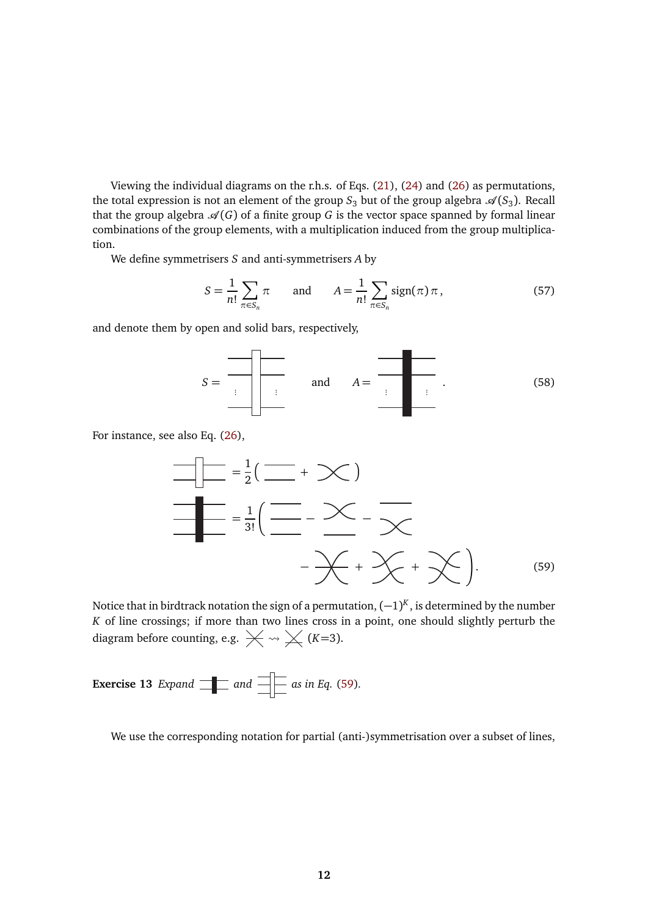Viewing the individual diagrams on the r.h.s. of Eqs. (21), (24) and (26) as permutations, the total expression is not an element of the group  $S_3$  but of the group algebra  $\mathscr{A}(S_3)$ . Recall that the group algebra  $\mathcal{A}(G)$  of a finite group G is the vector space spanned by formal linear combinations of the group elements, with a multiplication induced from the group multiplication.

We define symmetrisers *S* and anti-symmetrisers *A* by

<span id="page-1-1"></span>
$$
S = \frac{1}{n!} \sum_{\pi \in S_n} \pi \quad \text{and} \quad A = \frac{1}{n!} \sum_{\pi \in S_n} \text{sign}(\pi) \pi,
$$
 (57)

and denote them by open and solid bars, respectively,

$$
S = \begin{array}{c|c|c|c|c} \hline \text{and} & A = \begin{array}{c|c} \text{and} & A = \end{array} & \begin{array}{c|c|c} \hline \text{and} & A = \end{array} & \begin{array}{c|c|c} \hline \text{and} & \text{and} & A = \end{array} & \begin{array}{c|c|c} \hline \text{and} & \text{and} & \text{and} & \text{and} & \text{and} & \text{and} & \text{and} & \text{and} & \text{and} & \text{and} & \text{and} & \text{and} & \text{and} & \text{and} & \text{and} & \text{and} & \text{and} & \text{and} & \text{and} & \text{and} & \text{and} & \text{and} & \text{and} & \text{and} & \text{and} & \text{and} & \text{and} & \text{and} & \text{and} & \text{and} & \text{and} & \text{and} & \text{and} & \text{and} & \text{and} & \text{and} & \text{and} & \text{and} & \text{and} & \text{and} & \text{and} & \text{and} & \text{and} & \text{and} & \text{and} & \text{and} & \text{and} & \text{and} & \text{and} & \text{and} & \text{and} & \text{and} & \text{and} & \text{and} & \text{and} & \text{and} & \text{and} & \text{and} & \text{and} & \text{and} & \text{and} & \text{and} & \text{and} & \text{and} & \text{and} & \text{and} & \text{and} & \text{and} & \text{and} & \text{and} & \text{and} & \text{and} & \text{and} & \text{and} & \text{and} & \text{and} & \text{and} & \text{and} & \text{and} & \text{and} & \text{and} & \text{and} & \text{and} & \text{and} & \text{and} & \text{and} & \text{and} & \text{and} & \text{and} & \text{and} & \text{and} & \text{and} & \text{and} & \text{and} & \text{and} & \text{and} & \text{and} & \text{and} & \text{and} & \text{and} & \text{and} & \text{and} & \text{and} & \text{and} & \text{and} & \text
$$

For instance, see also Eq. (26),

<span id="page-1-0"></span>
$$
\frac{1}{\frac{1}{\sqrt{1-\frac{1}{2}}}} = \frac{1}{2}(\frac{1}{\sqrt{1-\frac{1}{2}}}\times\frac{1}{\sqrt{1-\frac{1}{2}}}\times\frac{1}{\sqrt{1-\frac{1}{2}}}\times\frac{1}{\sqrt{1-\frac{1}{2}}}\times\frac{1}{\sqrt{1-\frac{1}{2}}}\times\frac{1}{\sqrt{1-\frac{1}{2}}}\times\frac{1}{\sqrt{1-\frac{1}{2}}}\times\frac{1}{\sqrt{1-\frac{1}{2}}}\times\frac{1}{\sqrt{1-\frac{1}{2}}}\times\frac{1}{\sqrt{1-\frac{1}{2}}}\times\frac{1}{\sqrt{1-\frac{1}{2}}}\times\frac{1}{\sqrt{1-\frac{1}{2}}}\times\frac{1}{\sqrt{1-\frac{1}{2}}}\times\frac{1}{\sqrt{1-\frac{1}{2}}}\times\frac{1}{\sqrt{1-\frac{1}{2}}}\times\frac{1}{\sqrt{1-\frac{1}{2}}}\times\frac{1}{\sqrt{1-\frac{1}{2}}}\times\frac{1}{\sqrt{1-\frac{1}{2}}}\times\frac{1}{\sqrt{1-\frac{1}{2}}}\times\frac{1}{\sqrt{1-\frac{1}{2}}}\times\frac{1}{\sqrt{1-\frac{1}{2}}}\times\frac{1}{\sqrt{1-\frac{1}{2}}}\times\frac{1}{\sqrt{1-\frac{1}{2}}}\times\frac{1}{\sqrt{1-\frac{1}{2}}}\times\frac{1}{\sqrt{1-\frac{1}{2}}}\times\frac{1}{\sqrt{1-\frac{1}{2}}}\times\frac{1}{\sqrt{1-\frac{1}{2}}}\times\frac{1}{\sqrt{1-\frac{1}{2}}}\times\frac{1}{\sqrt{1-\frac{1}{2}}}\times\frac{1}{\sqrt{1-\frac{1}{2}}}\times\frac{1}{\sqrt{1-\frac{1}{2}}}\times\frac{1}{\sqrt{1-\frac{1}{2}}}\times\frac{1}{\sqrt{1-\frac{1}{2}}}\times\frac{1}{\sqrt{1-\frac{1}{2}}}\times\frac{1}{\sqrt{1-\frac{1}{2}}}\times\frac{1}{\sqrt{1-\frac{1}{2}}}\times\frac{1}{\sqrt{1-\frac{1}{2}}}\times\frac{1}{\sqrt{1-\frac{1}{2}}}\times\frac{1}{\sqrt{1-\frac{1}{2}}}\times\frac{1}{\sqrt{1-\frac{1}{2}}}\times\frac{1}{\sqrt{1-\
$$

Notice that in birdtrack notation the sign of a permutation,  $(-1)^K$ , is determined by the number *K* of line crossings; if more than two lines cross in a point, one should slightly perturb the diagram before counting, e.g.  $\swarrow \rightsquigarrow \swarrow (K=3)$ .

**Exercise 13** *Expand*  $\boxed{\phantom{1} \phantom{1}}$  *and*  $\boxed{\phantom{1} \phantom{1}}$  *as in Eq.* [\(59\)](#page-1-0)*.* 

We use the corresponding notation for partial (anti-)symmetrisation over a subset of lines,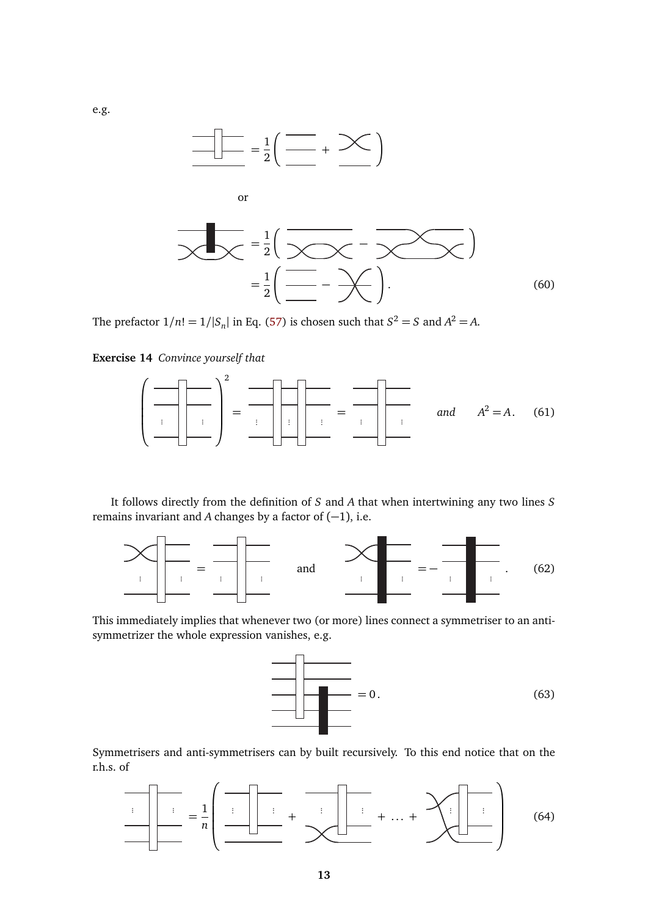

or

$$
\sum_{i=1}^{\infty} \frac{1}{i} \left( \frac{1}{\sum_{i=1}^{\infty} \sum_{j=1}^{i} \left( \frac{1}{\sum_{i=1}^{i} \sum_{j=1}^{i} \left( \frac{1}{\sum_{i=1}^{i} \left( \frac{1}{\sum_{i=1}^{i} \left( \frac{1}{\sum_{i=1}^{i} \left( \frac{1}{\sum_{i=1}^{i} \left( \frac{1}{\sum_{i=1}^{i} \left( \frac{1}{\sum_{i=1}^{i} \left( \frac{1}{\sum_{i=1}^{i} \left( \frac{1}{\sum_{i=1}^{i} \left( \frac{1}{\sum_{i=1}^{i} \left( \frac{1}{\sum_{i=1}^{i} \left( \frac{1}{\sum_{i=1}^{i} \left( \frac{1}{\sum_{i=1}^{i} \left( \frac{1}{\sum_{i=1}^{i} \left( \frac{1}{\sum_{i=1}^{i} \left( \frac{1}{\sum_{i=1}^{i} \left( \frac{1}{\sum_{i=1}^{i} \left( \frac{1}{\sum_{i=1}^{i} \left( \frac{1}{\sum_{i=1}^{i} \left( \frac{1}{\sum_{i=1}^{i} \left( \frac{1}{\sum_{i=1}^{i} \left( \frac{1}{\sum_{i=1}^{i} \left( \frac{1}{\sum_{i=1}^{i} \left( \frac{1}{\sum_{i=1}^{i} \left( \frac{1}{\sum_{i=1}^{i} \left( \frac{1}{\sum_{i=1}^{i} \left( \frac{1}{\sum_{i=1}^{i} \left( \frac{1}{\sum_{i=1}^{i} \left( \frac{1}{\sum_{i=1}^{i} \left( \frac{1}{\sum_{i=1}^{i} \left( \frac{1}{\sum_{i=1}^{i} \left( \frac{1}{\sum_{i=1}^{i} \left( \frac{1}{\sum_{i=1}^{i} \left( \frac{1}{\sum_{i=1}^{i} \left( \frac{1}{\sum_{i=1}^{i} \left( \frac{1}{\sum_{i=1}^{i} \left( \frac{1}{\sum_{i=1}^{i} \left( \frac{1}{\sum_{i=1}^{i} \left( \frac{1}{\sum_{i=1}^{i
$$

The prefactor  $1/n! = 1/|S_n|$  in Eq. [\(57\)](#page-1-1) is chosen such that  $S^2 = S$  and  $A^2 = A$ .

**Exercise 14** *Convince yourself that*

 ... ... 2 <sup>=</sup> ... ... ... <sup>=</sup> ... ... *and A*<sup>2</sup> = *A*. (61)

It follows directly from the definition of *S* and *A* that when intertwining any two lines *S* remains invariant and *A* changes by a factor of  $(-1)$ , i.e.



This immediately implies that whenever two (or more) lines connect a symmetriser to an antisymmetrizer the whole expression vanishes, e.g.



Symmetrisers and anti-symmetrisers can by built recursively. To this end notice that on the r.h.s. of

... ... = 1 *n* ... ... + ... ... + . . . + ... ... (64)

e.g.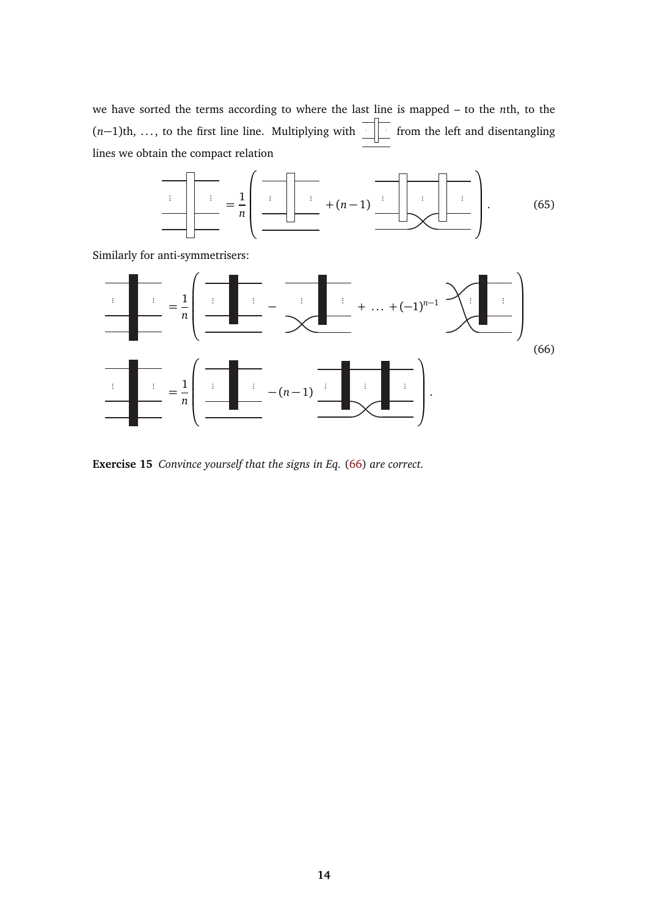we have sorted the terms according to where the last line is mapped – to the *n*th, to the (*n*−1)th, ..., to the first line line. Multiplying with less from the left and disentangling lines we obtain the compact relation

<span id="page-3-0"></span>

Similarly for anti-symmetrisers:



**Exercise 15** *Convince yourself that the signs in Eq.* [\(66\)](#page-3-0) *are correct.*